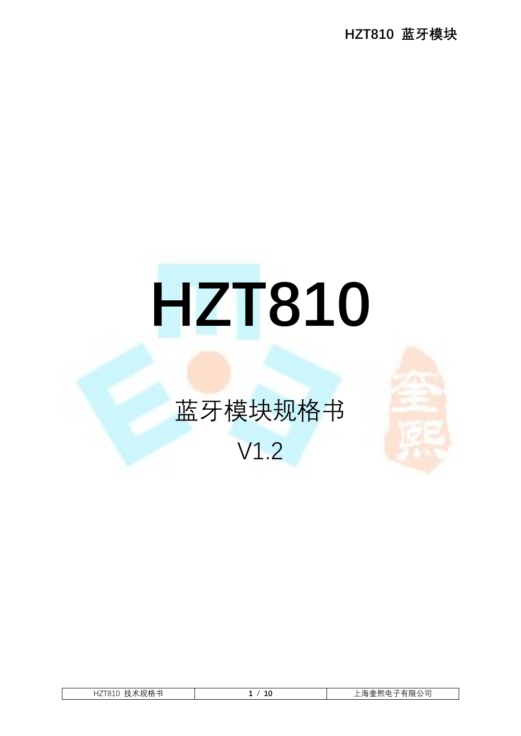HZT810 蓝牙模块

# HZT810

## 蓝牙模块规格书

### V1.2

| 技术规格书<br>HZT810 | 10 | 「有限公司<br>∠海奎熙申 うんじょう しゅうかん しゅうかん しゅうかん しゅうかん しゅうしょう<br>- 20<br>ັ |
|-----------------|----|------------------------------------------------------------------|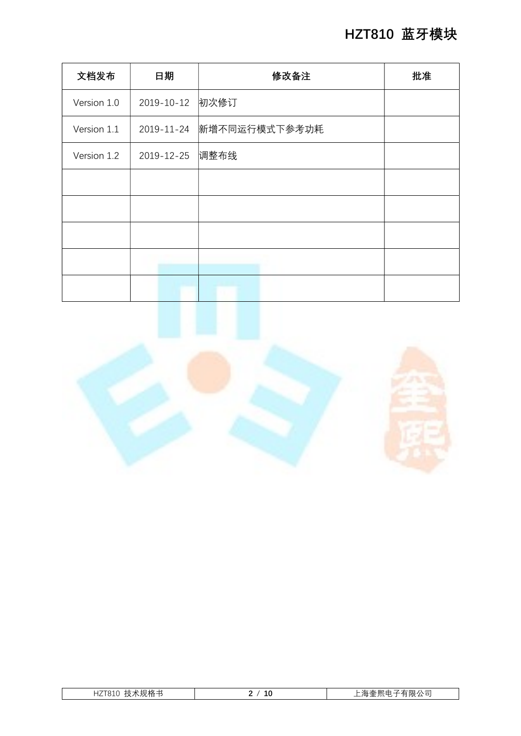| 文档发布        | 日期         | 修改备注          | 批准 |
|-------------|------------|---------------|----|
| Version 1.0 | 2019-10-12 | 初次修订          |    |
| Version 1.1 | 2019-11-24 | 新增不同运行模式下参考功耗 |    |
| Version 1.2 | 2019-12-25 | 调整布线          |    |
|             |            |               |    |
|             |            |               |    |
|             |            |               |    |
|             |            |               |    |
|             |            |               |    |



| $\Box$<br>$\mathbf{v}$<br>∸<br>---<br>_ |                    |             |  |
|-----------------------------------------|--------------------|-------------|--|
|                                         | , <b>C</b> + O + O | ___<br>____ |  |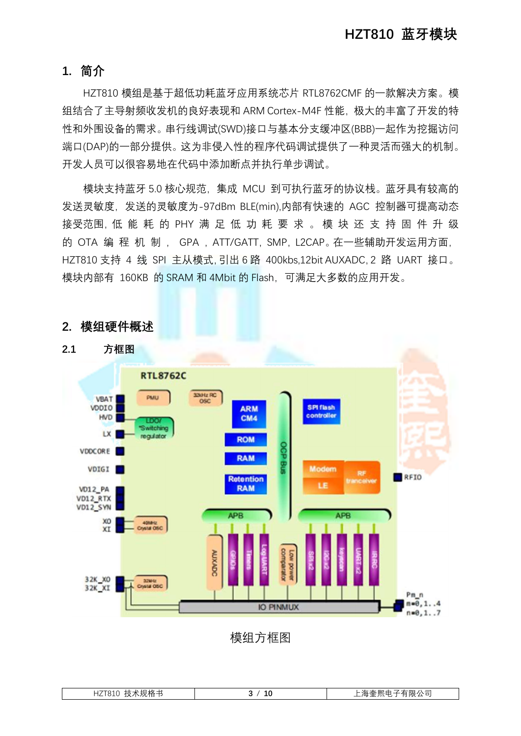#### 1. 简介

HZT810 模组是基于超低功耗蓝牙应用系统芯片 RTL8762CMF 的一款解决方案。模 组结合了主导射频收发机的良好表现和 ARM Cortex-M4F 性能,极大的丰富了开发的特 性和外围设备的需求。串行线调试(SWD)接口与基本分支缓冲区(BBB)一起作为挖掘访问 端口(DAP)的一部分提供。这为非侵入性的程序代码调试提供了一种灵活而强大的机制。 开发人员可以很容易地在代码中添加断点并执行单步调试。

模块支持蓝牙 5.0 核心规范,集成 MCU 到可执行蓝牙的协议栈。蓝牙具有较高的 发送灵敏度,发送的灵敏度为-97dBm BLE(min),内部有快速的 AGC 控制器可提高动态 接受范围,低 能 耗 的 PHY 满 足 低 功 耗 要 求 。 模 块 还 支 持 固 件 升 级 的 OTA 编 程 机 制 , GPA , ATT/GATT, SMP, L2CAP。在一些辅助开发运用方面, HZT810 支持 4 线 SPI 主从模式,引出 6 路 400kbs,12bit AUXADC,2 路 UART 接口。 模块内部有 160KB 的 SRAM 和 4Mbit 的 Flash,可满足大多数的应用开发。



#### 2. 模组硬件概述

模组方框图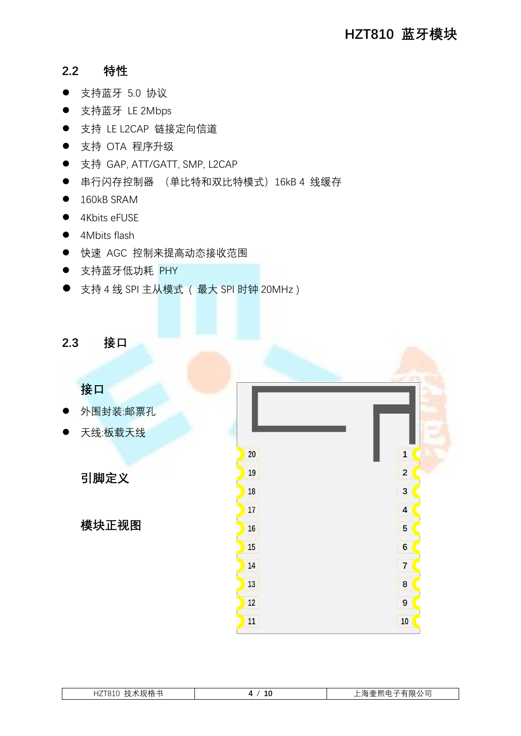#### 2.2 特性

- 支持蓝牙 5.0 协议
- 支持蓝牙 LE 2Mbps
- 支持 LE L2CAP 链接定向信道
- 支持 OTA 程序升级
- 支持 GAP, ATT/GATT, SMP, L2CAP
- 串行闪存控制器 (单比特和双比特模式) 16kB 4 线缓存
- $\bullet$  160kB SRAM
- 4Kbits eFUSE
- 4Mbits flash
- 快速 AGC 控制来提高动态接收范围
- 支持蓝牙低功耗 PHY
- 支持 4 线 SPI 主从模式 ( 最大 SPI 时钟 20MHz )

#### 2.3 接口

接口

- 外围封装:邮票孔
- 天线:板载天线

引脚定义

模块正视图

 $20$ 

19

18

 $17$ 

16

15

14

13

 $12$ 

 $11$ 

 $\overline{1}$ 

 $\overline{2}$ 

3

 $\overline{\mathbf{4}}$ 

5

 $6\overline{6}$ 

 $\overline{7}$ 

8

9

 $10$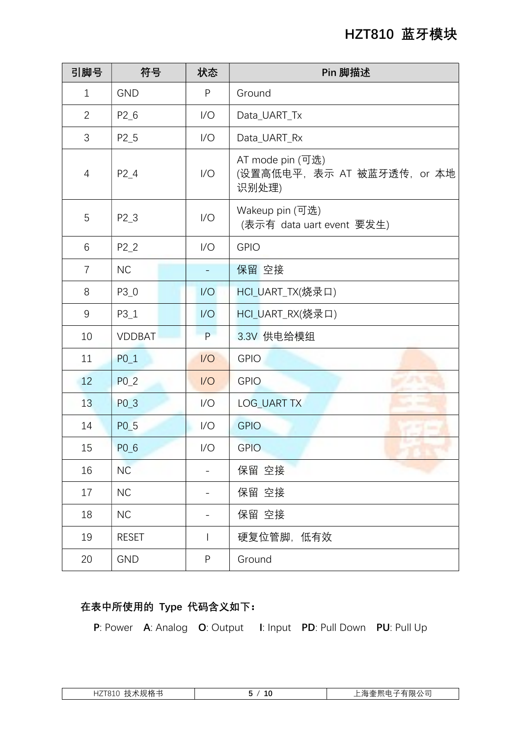#### HZT810 蓝牙模块

| 引脚号            | 符号            | 状态             | Pin 脚描述                                                  |
|----------------|---------------|----------------|----------------------------------------------------------|
| $\mathbf 1$    | <b>GND</b>    | $\sf P$        | Ground                                                   |
| $\overline{2}$ | $P2_6$        | 1/O            | Data UART Tx                                             |
| 3              | $P2_5$        | 1/O            | Data_UART_Rx                                             |
| 4              | $P2_4$        | 1/O            | AT mode pin (可选)<br>(设置高低电平, 表示 AT 被蓝牙透传, or 本地<br>识别处理) |
| 5              | $P2_3$        | 1/O            | Wakeup pin (可选)<br>(表示有 data uart event 要发生)             |
| 6              | $P2_2$        | 1/O            | <b>GPIO</b>                                              |
| 7              | <b>NC</b>     |                | 保留 空接                                                    |
| 8              | $P3_0$        | 1/O            | HCI_UART_TX(烧录口)                                         |
| 9              | $P3_1$        | 1/O            | HCI_UART_RX(烧录口)                                         |
| 10             | <b>VDDBAT</b> | P.             | 3.3V 供电给模组                                               |
| 11             | $P0_1$        | 1/O            | <b>GPIO</b>                                              |
| 12             | $P0_2$        | 1/O            | ar a Tho<br><b>GPIO</b>                                  |
| 13             | $P0_3$        | 1/O            | <b>LOG_UART TX</b>                                       |
| 14             | $P0_5$        | 1/O            | <b>GPIO</b>                                              |
| 15             | $P0_6$        | 1/O            | <b>GPIO</b>                                              |
| 16             | NC            |                | 保留 空接                                                    |
| 17             | <b>NC</b>     |                | 保留 空接                                                    |
| 18             | <b>NC</b>     |                | 保留 空接                                                    |
| 19             | <b>RESET</b>  | $\overline{1}$ | 硬复位管脚,低有效                                                |
| 20             | <b>GND</b>    | P              | Ground                                                   |

#### 在表中所使用的 Type 代码含义如下:

P: Power A: Analog O: Output I: Input PD: Pull Down PU: Pull Up

| 、灭儿1个白1<br>$\sqrt{2}$<br>. V<br>. <b>121 U</b> TU<br>. .<br>ᄉ | Τſ | $\sim$<br>-<br>ں ۔<br>$\sqrt{11}$<br><b>PLX</b><br>-<br>ີ |
|---------------------------------------------------------------|----|-----------------------------------------------------------|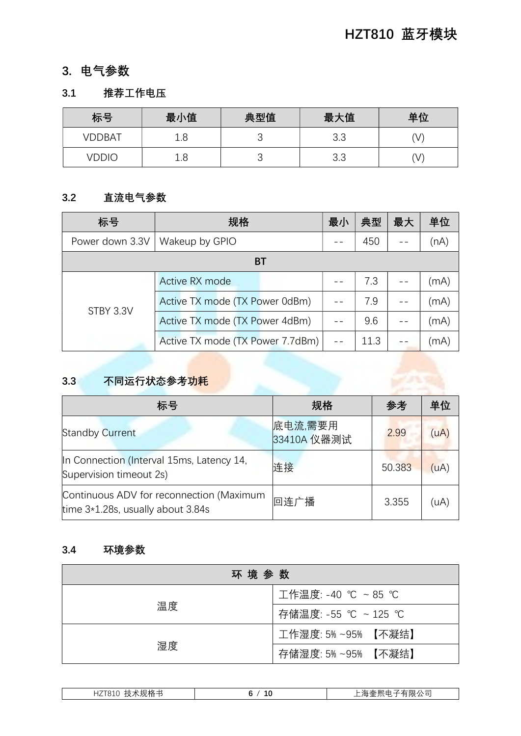#### 3. 电气参数

#### 3.1 推荐工作电压

| 标号     | 最小值 | 典型值 | 最大值        | 单位 |
|--------|-----|-----|------------|----|
| VDDBAT | 1.8 | ∼   | 3.3        | V  |
| VDDIC  | 1.8 | ◡   | つこ<br>ن. ب | V  |

#### 3.2 直流电气参数

| 标号              | 规格                               | 最小 | 典型   | 最大 | 单位   |
|-----------------|----------------------------------|----|------|----|------|
| Power down 3.3V | Wakeup by GPIO                   |    | 450  |    | (nA) |
|                 | ВT                               |    |      |    |      |
|                 | Active RX mode                   |    | 7.3  |    | (mA) |
| STBY 3.3V       | Active TX mode (TX Power 0dBm)   |    | 7.9  |    | (mA) |
|                 | Active TX mode (TX Power 4dBm)   |    | 9.6  |    | (mA) |
|                 | Active TX mode (TX Power 7.7dBm) |    | 11.3 |    | (mA) |

#### 3.3 不同运行状态参考<mark>功耗</mark>

| 标号                                                                            | 规格                     | 参考     | 单位   |
|-------------------------------------------------------------------------------|------------------------|--------|------|
| <b>Standby Current</b>                                                        | 底电流,需要用<br>33410A 仪器测试 | 2.99   | (uA) |
| In Connection (Interval 15ms, Latency 14,<br>Supervision timeout 2s)          | 连接                     | 50.383 | (uA) |
| Continuous ADV for reconnection (Maximum<br>time 3*1.28s, usually about 3.84s | 回连广播                   | 3.355  | (uA) |

#### 3.4 环境参数

| 环 境 参 数 |                     |
|---------|---------------------|
|         | 工作温度: -40 ℃ ~85 ℃   |
| 温度      | 存储温度: -55 ℃ ~125 ℃  |
|         | 工作湿度: 5% ~95% 【不凝结】 |
| 湿度      | 存储湿度: 5% ~95% 【不凝结】 |

| . .<br><br>IJА<br>$\sqrt{2}$<br>$\lambda$<br>$\pi$<br>. .<br>. .<br>ᅚᅩᆞᄓᅩ<br>.<br>- |  |  |
|-------------------------------------------------------------------------------------|--|--|
|                                                                                     |  |  |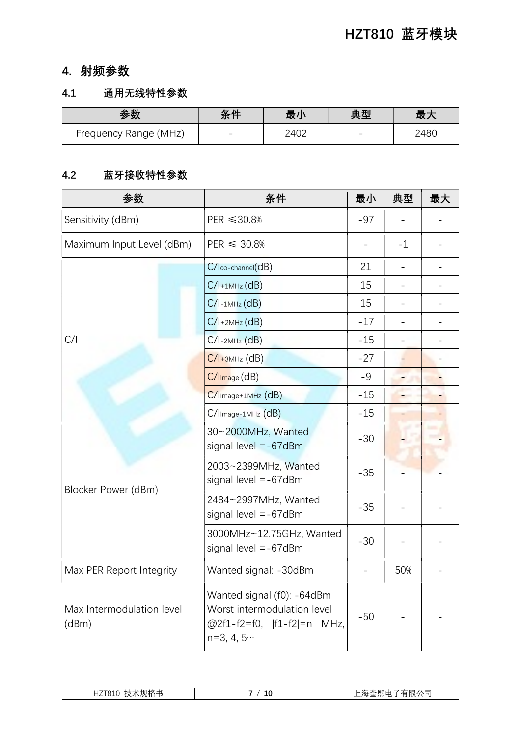#### 4. 射频参数

#### 4.1 通用无线特性参数

| 参数                    | 冬件 | 最小   | 典型 | 最大   |
|-----------------------|----|------|----|------|
| Frequency Range (MHz) |    | 2402 | -  | 248C |

#### 4.2 蓝牙接收特性参数

| 参数                                 | 条件                                                                                                     | 最小    | 典型   | 最大 |
|------------------------------------|--------------------------------------------------------------------------------------------------------|-------|------|----|
| Sensitivity (dBm)                  | $PER \le 30.8\%$                                                                                       | $-97$ |      |    |
| Maximum Input Level (dBm)          | $PER \leq 30.8\%$                                                                                      |       | $-1$ |    |
|                                    | $C/$ co-channel $(dB)$                                                                                 | 21    |      |    |
|                                    | $C/I+1$ MHz $(dB)$                                                                                     | 15    |      |    |
|                                    | $C/I$ -1MHz $(dB)$                                                                                     | 15    |      |    |
|                                    | $C/I+2MHz$ (dB)                                                                                        | $-17$ |      |    |
| C/I                                | $C/I$ -2MHz $(dB)$                                                                                     | $-15$ |      |    |
|                                    | $C/I+3MHz$ (dB)                                                                                        | $-27$ |      |    |
|                                    | $C/I_{Image}(dB)$                                                                                      | $-9$  |      |    |
|                                    | $C/$ Image+1MHz $(dB)$                                                                                 | $-15$ |      |    |
|                                    | C/Image-1MHz (dB)                                                                                      | $-15$ |      |    |
|                                    | 30~2000MHz, Wanted<br>signal level $= -67$ dBm                                                         | $-30$ |      |    |
| Blocker Power (dBm)                | 2003~2399MHz, Wanted<br>signal level $= -67$ dBm                                                       | $-35$ |      |    |
|                                    | 2484~2997MHz, Wanted<br>signal level $= -67$ dBm                                                       | $-35$ |      |    |
|                                    | 3000MHz~12.75GHz, Wanted<br>signal level $= -67$ dBm                                                   | $-30$ |      |    |
| Max PER Report Integrity           | Wanted signal: -30dBm                                                                                  |       | 50%  |    |
| Max Intermodulation level<br>(dBm) | Wanted signal (f0): -64dBm<br>Worst intermodulation level<br>@2f1-f2=f0,  f1-f2 =n MHz,<br>$n=3, 4, 5$ | $-50$ |      |    |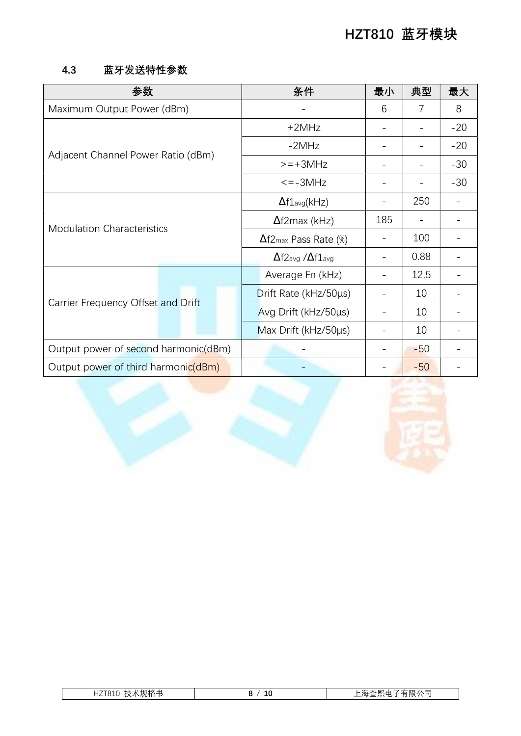#### 4.3 蓝牙发送特性参数

| 参数                                   |                      | 条件                                       | 最小  | 典型    | 最大    |
|--------------------------------------|----------------------|------------------------------------------|-----|-------|-------|
| Maximum Output Power (dBm)           |                      |                                          | 6   | 7     | 8     |
| Adjacent Channel Power Ratio (dBm)   |                      | $+2MHz$                                  |     |       | $-20$ |
|                                      |                      | $-2MHz$                                  |     |       | $-20$ |
|                                      |                      | $>=+3MHz$                                |     |       | $-30$ |
|                                      |                      | $\leq$ = $-3MHz$                         |     |       | $-30$ |
| <b>Modulation Characteristics</b>    |                      | $\Delta f1_{avg}(kHz)$                   |     | 250   |       |
|                                      |                      | $\Delta$ f2max (kHz)                     | 185 |       |       |
|                                      |                      | $\Delta$ f2 <sub>max</sub> Pass Rate (%) |     | 100   |       |
|                                      |                      | $\Delta$ f $2$ avg / $\Delta$ f $1$ avg  |     | 0.88  |       |
| Carrier Frequency Offset and Drift   |                      | Average Fn (kHz)                         |     | 12.5  |       |
|                                      |                      | Drift Rate (kHz/50µs)                    |     | 10    |       |
|                                      | Avg Drift (kHz/50µs) |                                          | 10  |       |       |
|                                      |                      | Max Drift (kHz/50µs)                     |     | 10    |       |
| Output power of second harmonic(dBm) |                      |                                          |     | $-50$ |       |
| Output power of third harmonic(dBm)  |                      |                                          |     | $-50$ |       |



| 、 ニ<br>-~                         |   |              |
|-----------------------------------|---|--------------|
| , , <i>,</i> , , , , ,<br>-<br>__ | ᅩ | $\sqrt{111}$ |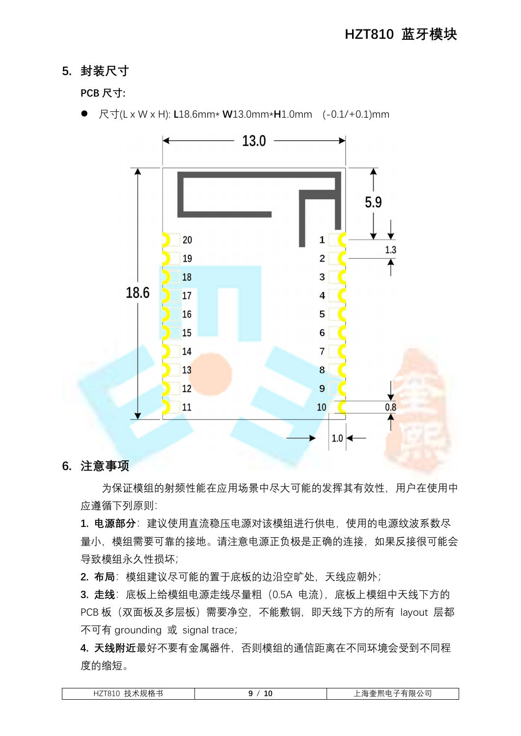#### 5. 封装尺寸

#### PCB 尺寸:



● 尺寸(L x W x H): L18.6mm\* W13.0mm\*H1.0mm (-0.1/+0.1)mm

#### 6. 注意事项

为保证模组的射频性能在应用场景中尽大可能的发挥其有效性,用户在使用中 应遵循下列原则:

1. 电源部分: 建议使用直流稳压电源对该模组进行供电, 使用的电源纹波系数尽 量小, 模组需要可靠的接地。请注意电源正负极是正确的连接, 如果反接很可能会 导致模组永久性损坏;

2. 布局: 模组建议尽可能的置于底板的边沿空旷处, 天线应朝外;

3. 走线: 底板上给模组电源走线尽量粗 (0.5A 电流), 底板上模组中天线下方的 PCB 板(双面板及多层板)需要净空,不能敷铜,即天线下方的所有 layout 层都 不可有 grounding 或 signal trace;

4. 天线附近最好不要有金属器件, 否则模组的通信距离在不同环境会受到不同程 度的缩短。

| ξ术规格书<br>HZT810<br>$\sim$<br>ᄉ | 10 | 月限公司<br>$\sim$<br>$\lambda$<br>$\pi$<br>$\pm \pi$ . |
|--------------------------------|----|-----------------------------------------------------|